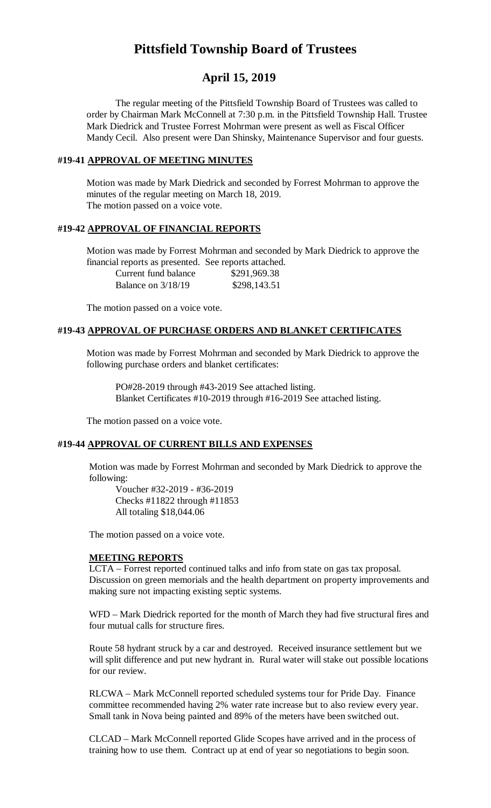# **Pittsfield Township Board of Trustees**

# **April 15, 2019**

The regular meeting of the Pittsfield Township Board of Trustees was called to order by Chairman Mark McConnell at 7:30 p.m. in the Pittsfield Township Hall. Trustee Mark Diedrick and Trustee Forrest Mohrman were present as well as Fiscal Officer Mandy Cecil. Also present were Dan Shinsky, Maintenance Supervisor and four guests.

## **#19-41 APPROVAL OF MEETING MINUTES**

Motion was made by Mark Diedrick and seconded by Forrest Mohrman to approve the minutes of the regular meeting on March 18, 2019. The motion passed on a voice vote.

## **#19-42 APPROVAL OF FINANCIAL REPORTS**

Motion was made by Forrest Mohrman and seconded by Mark Diedrick to approve the financial reports as presented. See reports attached.

Current fund balance \$291,969.38 Balance on 3/18/19 \$298,143.51

The motion passed on a voice vote.

#### **#19-43 APPROVAL OF PURCHASE ORDERS AND BLANKET CERTIFICATES**

Motion was made by Forrest Mohrman and seconded by Mark Diedrick to approve the following purchase orders and blanket certificates:

PO#28-2019 through #43-2019 See attached listing. Blanket Certificates #10-2019 through #16-2019 See attached listing.

The motion passed on a voice vote.

#### **#19-44 APPROVAL OF CURRENT BILLS AND EXPENSES**

Motion was made by Forrest Mohrman and seconded by Mark Diedrick to approve the following:

Voucher #32-2019 - #36-2019 Checks #11822 through #11853 All totaling \$18,044.06

The motion passed on a voice vote.

#### **MEETING REPORTS**

LCTA – Forrest reported continued talks and info from state on gas tax proposal. Discussion on green memorials and the health department on property improvements and making sure not impacting existing septic systems.

WFD – Mark Diedrick reported for the month of March they had five structural fires and four mutual calls for structure fires.

Route 58 hydrant struck by a car and destroyed. Received insurance settlement but we will split difference and put new hydrant in. Rural water will stake out possible locations for our review.

RLCWA – Mark McConnell reported scheduled systems tour for Pride Day. Finance committee recommended having 2% water rate increase but to also review every year. Small tank in Nova being painted and 89% of the meters have been switched out.

CLCAD – Mark McConnell reported Glide Scopes have arrived and in the process of training how to use them. Contract up at end of year so negotiations to begin soon.